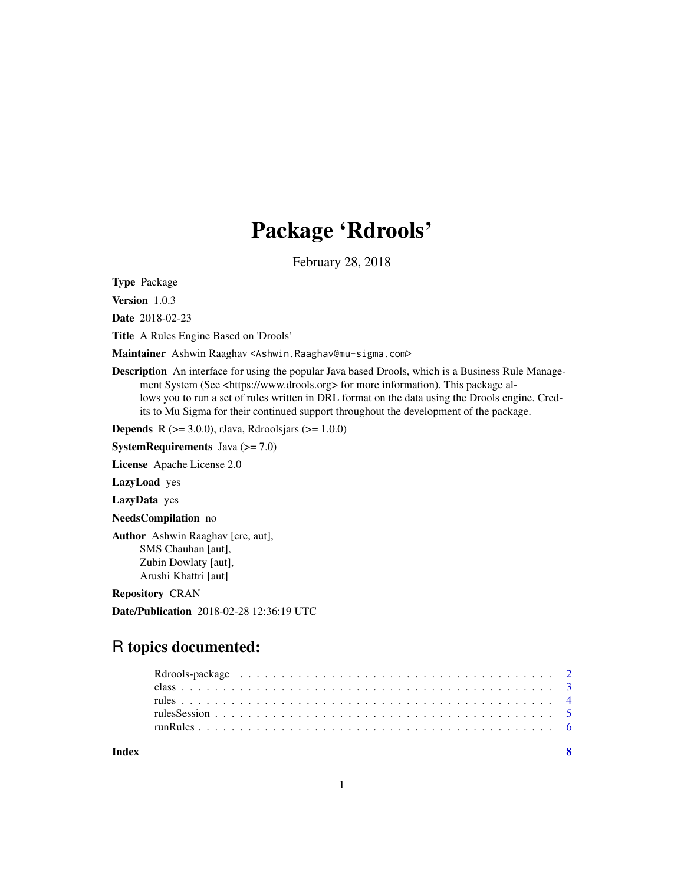## Package 'Rdrools'

February 28, 2018

Type Package

Version 1.0.3

Date 2018-02-23

Title A Rules Engine Based on 'Drools'

Maintainer Ashwin Raaghav <Ashwin.Raaghav@mu-sigma.com>

Description An interface for using the popular Java based Drools, which is a Business Rule Management System (See <https://www.drools.org> for more information). This package allows you to run a set of rules written in DRL format on the data using the Drools engine. Credits to Mu Sigma for their continued support throughout the development of the package.

**Depends** R ( $>= 3.0.0$ ), rJava, Rdroolsjars ( $>= 1.0.0$ )

**SystemRequirements** Java  $(>= 7.0)$ 

License Apache License 2.0

LazyLoad yes

LazyData yes

NeedsCompilation no

Author Ashwin Raaghav [cre, aut], SMS Chauhan [aut], Zubin Dowlaty [aut], Arushi Khattri [aut]

Repository CRAN

Date/Publication 2018-02-28 12:36:19 UTC

## R topics documented:

| Index |  |
|-------|--|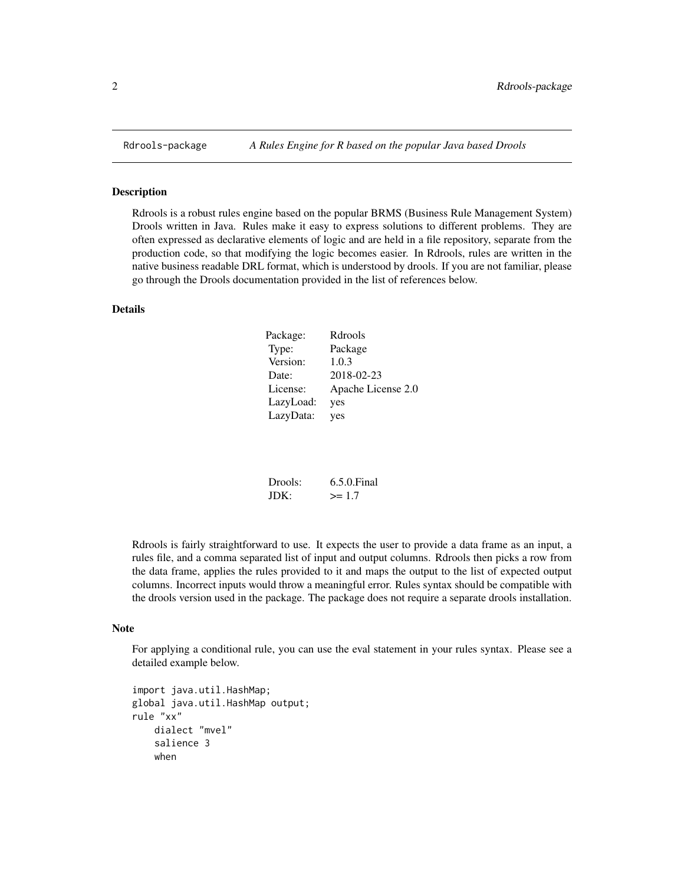<span id="page-1-0"></span>

## <span id="page-1-1"></span>Description

Rdrools is a robust rules engine based on the popular BRMS (Business Rule Management System) Drools written in Java. Rules make it easy to express solutions to different problems. They are often expressed as declarative elements of logic and are held in a file repository, separate from the production code, so that modifying the logic becomes easier. In Rdrools, rules are written in the native business readable DRL format, which is understood by drools. If you are not familiar, please go through the Drools documentation provided in the list of references below.

## Details

| Package:  | Rdrools            |
|-----------|--------------------|
| Type:     | Package            |
| Version:  | 1.0.3              |
| Date:     | 2018-02-23         |
| License:  | Apache License 2.0 |
| LazyLoad: | yes                |
| LazyData: | yes                |

| Drools: | $6.5.0$ . Final |
|---------|-----------------|
| JDK:    | $>= 1.7$        |

Rdrools is fairly straightforward to use. It expects the user to provide a data frame as an input, a rules file, and a comma separated list of input and output columns. Rdrools then picks a row from the data frame, applies the rules provided to it and maps the output to the list of expected output columns. Incorrect inputs would throw a meaningful error. Rules syntax should be compatible with the drools version used in the package. The package does not require a separate drools installation.

## Note

For applying a conditional rule, you can use the eval statement in your rules syntax. Please see a detailed example below.

```
import java.util.HashMap;
global java.util.HashMap output;
rule "xx"
    dialect "mvel"
    salience 3
    when
```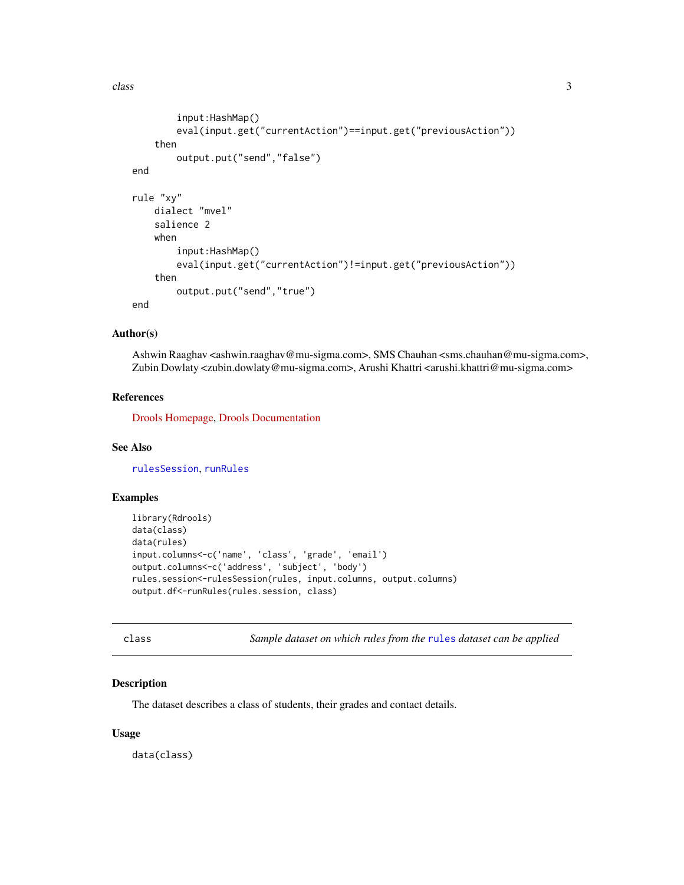<span id="page-2-0"></span>class 3

```
input:HashMap()
        eval(input.get("currentAction")==input.get("previousAction"))
    then
        output.put("send","false")
end
rule "xy"
    dialect "mvel"
    salience 2
    when
        input:HashMap()
        eval(input.get("currentAction")!=input.get("previousAction"))
    then
        output.put("send","true")
end
```
## Author(s)

Ashwin Raaghav <ashwin.raaghav@mu-sigma.com>, SMS Chauhan <sms.chauhan@mu-sigma.com>, Zubin Dowlaty <zubin.dowlaty@mu-sigma.com>, Arushi Khattri <arushi.khattri@mu-sigma.com>

## References

[Drools Homepage,](https://www.drools.org) [Drools Documentation](https://docs.jboss.org/drools/release/6.5.0.Final/drools-docs/html_single/index.html)

## See Also

[rulesSession](#page-4-1), [runRules](#page-5-1)

## Examples

```
library(Rdrools)
data(class)
data(rules)
input.columns<-c('name', 'class', 'grade', 'email')
output.columns<-c('address', 'subject', 'body')
rules.session<-rulesSession(rules, input.columns, output.columns)
output.df<-runRules(rules.session, class)
```
<span id="page-2-1"></span>class *Sample dataset on which rules from the* [rules](#page-3-1) *dataset can be applied*

## Description

The dataset describes a class of students, their grades and contact details.

## Usage

data(class)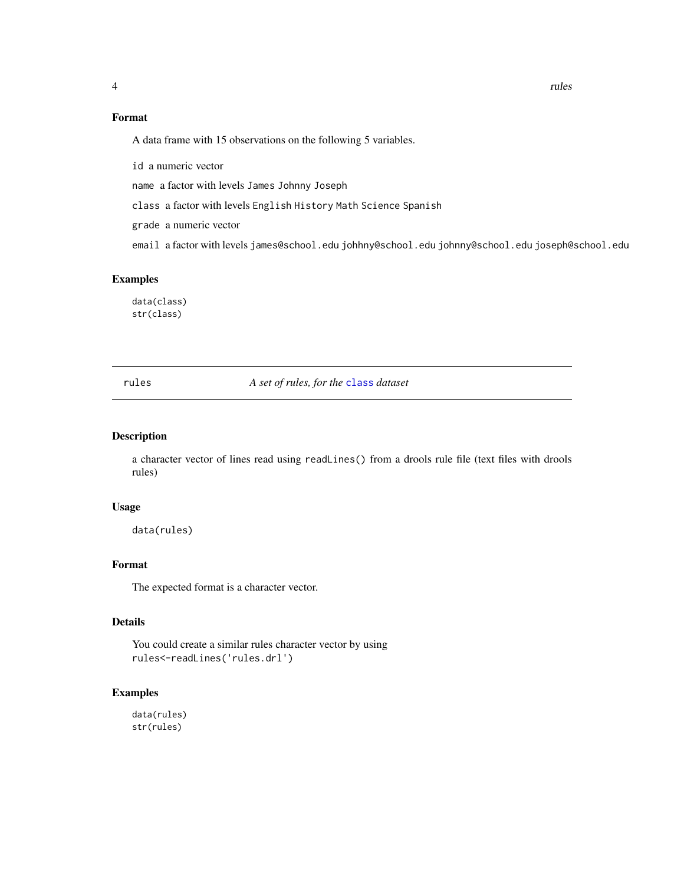<span id="page-3-0"></span>

## Format

A data frame with 15 observations on the following 5 variables.

id a numeric vector

name a factor with levels James Johnny Joseph

class a factor with levels English History Math Science Spanish

grade a numeric vector

email a factor with levels james@school.edu johhny@school.edu johnny@school.edu joseph@school.edu

## Examples

data(class) str(class)

<span id="page-3-1"></span>rules *A set of rules, for the* [class](#page-2-1) *dataset*

## Description

a character vector of lines read using readLines() from a drools rule file (text files with drools rules)

### Usage

data(rules)

## Format

The expected format is a character vector.

## Details

You could create a similar rules character vector by using rules<-readLines('rules.drl')

## Examples

data(rules) str(rules)

4 and 2 rules and 2 rules and 2 rules and 2 rules and 2 rules and 2 rules and 2 rules and 2 rules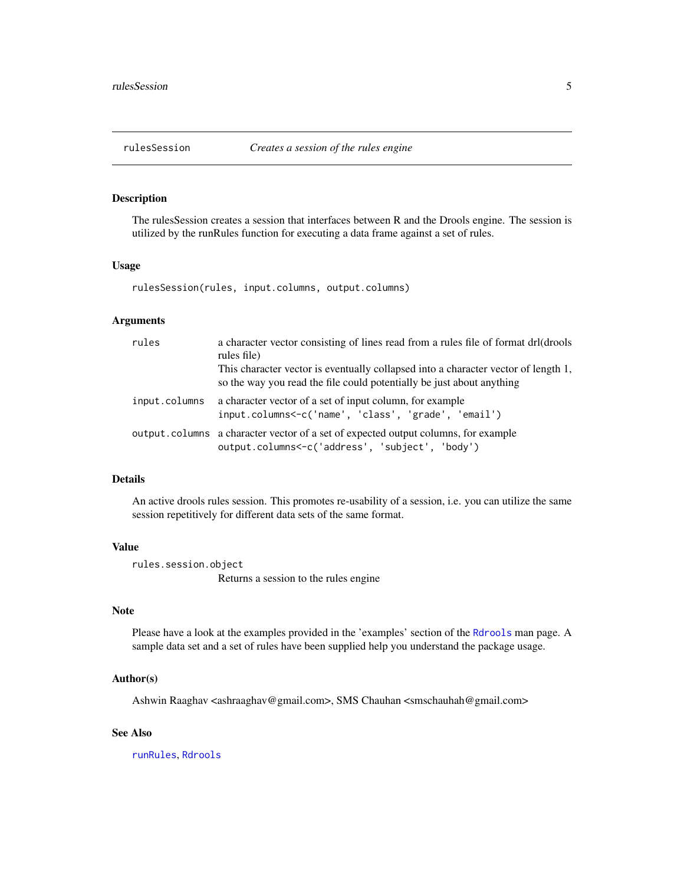<span id="page-4-1"></span><span id="page-4-0"></span>

## Description

The rulesSession creates a session that interfaces between R and the Drools engine. The session is utilized by the runRules function for executing a data frame against a set of rules.

## Usage

rulesSession(rules, input.columns, output.columns)

## Arguments

| rules         | a character vector consisting of lines read from a rules file of format drl(drools<br>rules file)<br>This character vector is eventually collapsed into a character vector of length 1, |
|---------------|-----------------------------------------------------------------------------------------------------------------------------------------------------------------------------------------|
|               | so the way you read the file could potentially be just about anything                                                                                                                   |
| input.columns | a character vector of a set of input column, for example<br>input.columns<-c('name', 'class', 'grade', 'email')                                                                         |
|               | output. columns a character vector of a set of expected output columns, for example<br>output.columns<-c('address', 'subject', 'body')                                                  |

## Details

An active drools rules session. This promotes re-usability of a session, i.e. you can utilize the same session repetitively for different data sets of the same format.

## Value

rules.session.object

Returns a session to the rules engine

## Note

Please have a look at the examples provided in the 'examples' section of the [Rdrools](#page-1-1) man page. A sample data set and a set of rules have been supplied help you understand the package usage.

## Author(s)

Ashwin Raaghav <ashraaghav@gmail.com>, SMS Chauhan <smschauhah@gmail.com>

## See Also

[runRules](#page-5-1), [Rdrools](#page-1-1)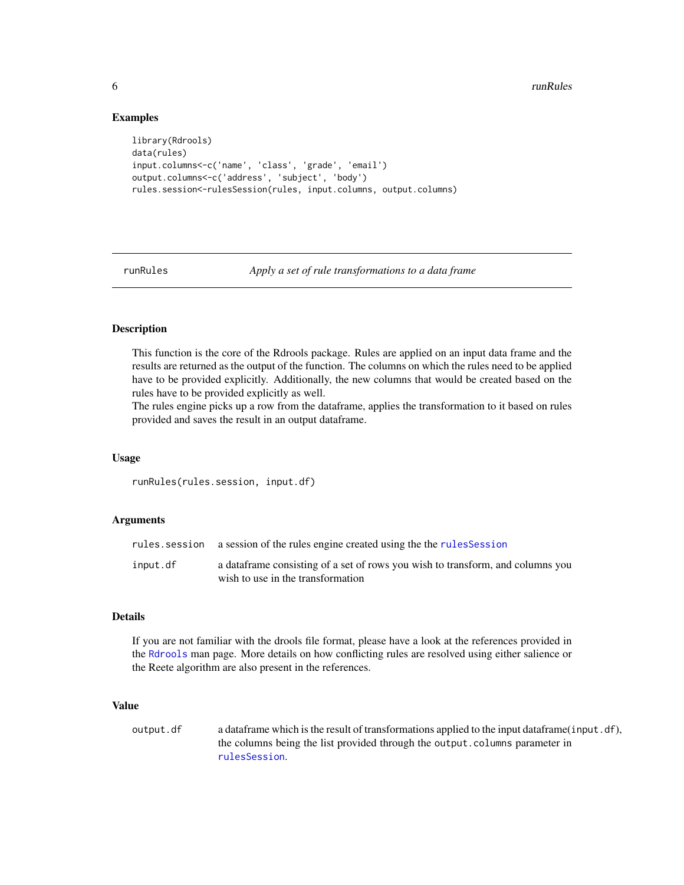## Examples

```
library(Rdrools)
data(rules)
input.columns<-c('name', 'class', 'grade', 'email')
output.columns<-c('address', 'subject', 'body')
rules.session<-rulesSession(rules, input.columns, output.columns)
```
<span id="page-5-1"></span>

runRules *Apply a set of rule transformations to a data frame*

## Description

This function is the core of the Rdrools package. Rules are applied on an input data frame and the results are returned as the output of the function. The columns on which the rules need to be applied have to be provided explicitly. Additionally, the new columns that would be created based on the rules have to be provided explicitly as well.

The rules engine picks up a row from the dataframe, applies the transformation to it based on rules provided and saves the result in an output dataframe.

## Usage

runRules(rules.session, input.df)

## Arguments

|          | rules. session a session of the rules engine created using the the rules Session                                     |
|----------|----------------------------------------------------------------------------------------------------------------------|
| input.df | a data frame consisting of a set of rows you wish to transform, and columns you<br>wish to use in the transformation |

### Details

If you are not familiar with the drools file format, please have a look at the references provided in the [Rdrools](#page-1-1) man page. More details on how conflicting rules are resolved using either salience or the Reete algorithm are also present in the references.

## Value

output.df a dataframe which is the result of transformations applied to the input dataframe(input.df), the columns being the list provided through the output.columns parameter in [rulesSession](#page-4-1).

<span id="page-5-0"></span>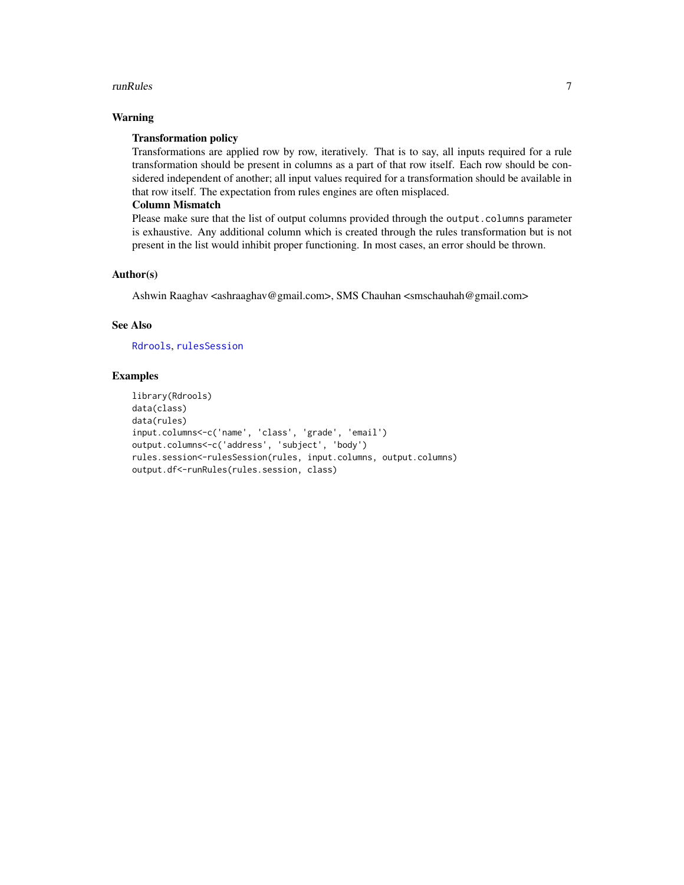## <span id="page-6-0"></span>runRules **7**

## Warning

## Transformation policy

Transformations are applied row by row, iteratively. That is to say, all inputs required for a rule transformation should be present in columns as a part of that row itself. Each row should be considered independent of another; all input values required for a transformation should be available in that row itself. The expectation from rules engines are often misplaced.

## Column Mismatch

Please make sure that the list of output columns provided through the output.columns parameter is exhaustive. Any additional column which is created through the rules transformation but is not present in the list would inhibit proper functioning. In most cases, an error should be thrown.

## Author(s)

Ashwin Raaghav <ashraaghav@gmail.com>, SMS Chauhan <smschauhah@gmail.com>

## See Also

[Rdrools](#page-1-1), [rulesSession](#page-4-1)

## Examples

```
library(Rdrools)
data(class)
data(rules)
input.columns<-c('name', 'class', 'grade', 'email')
output.columns<-c('address', 'subject', 'body')
rules.session<-rulesSession(rules, input.columns, output.columns)
output.df<-runRules(rules.session, class)
```